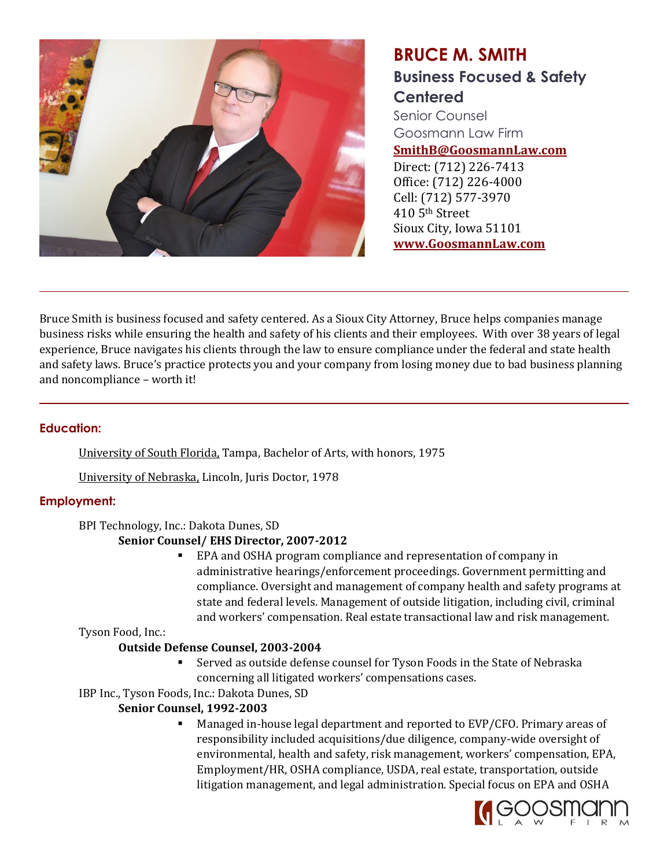

# **BRUCE M. SMITH Business Focused & Safety Centered**

Senior Counsel Goosmann Law Firm

**SmithB@GoosmannLaw.com**

Direct: (712) 226-7413 Office: (712) 226-4000 Cell: (712) 577-3970 410 5th Street Sioux City, Iowa 51101 **www.GoosmannLaw.com**

Bruce Smith is business focused and safety centered. As a Sioux City Attorney, Bruce helps companies manage business risks while ensuring the health and safety of his clients and their employees. With over 38 years of legal experience, Bruce navigates his clients through the law to ensure compliance under the federal and state health and safety laws. Bruce's practice protects you and your company from losing money due to bad business planning and noncompliance – worth it!

## **Education:**

University of South Florida, Tampa, Bachelor of Arts, with honors, 1975

University of Nebraska, Lincoln, Juris Doctor, 1978

# **Employment:**

## BPI Technology, Inc.: Dakota Dunes, SD

## **Senior Counsel/ EHS Director, 2007-2012**

■ EPA and OSHA program compliance and representation of company in administrative hearings/enforcement proceedings. Government permitting and compliance. Oversight and management of company health and safety programs at state and federal levels. Management of outside litigation, including civil, criminal and workers' compensation. Real estate transactional law and risk management.

Tyson Food, Inc.:

## **Outside Defense Counsel, 2003-2004**

- Served as outside defense counsel for Tyson Foods in the State of Nebraska concerning all litigated workers' compensations cases.
- IBP Inc., Tyson Foods, Inc.: Dakota Dunes, SD

# **Senior Counsel, 1992-2003**

Managed in-house legal department and reported to EVP/CFO. Primary areas of responsibility included acquisitions/due diligence, company-wide oversight of environmental, health and safety, risk management, workers' compensation, EPA, Employment/HR, OSHA compliance, USDA, real estate, transportation, outside litigation management, and legal administration. Special focus on EPA and OSHA